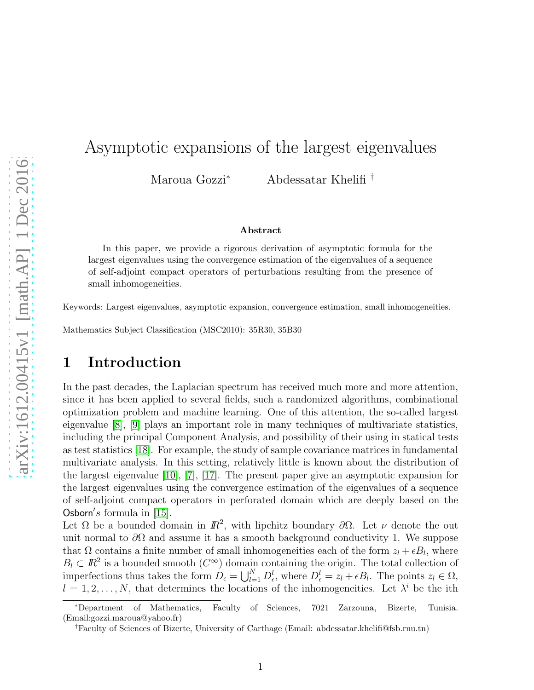## Asymptotic expansions of the largest eigenvalues

Maroua Gozzi<sup>∗</sup> Abdessatar Khelifi †

#### Abstract

In this paper, we provide a rigorous derivation of asymptotic formula for the largest eigenvalues using the convergence estimation of the eigenvalues of a sequence of self-adjoint compact operators of perturbations resulting from the presence of small inhomogeneities.

Keywords: Largest eigenvalues, asymptotic expansion, convergence estimation, small inhomogeneities.

Mathematics Subject Classification (MSC2010): 35R30, 35B30

## 1 Introduction

In the past decades, the Laplacian spectrum has received much more and more attention, since it has been applied to several fields, such a randomized algorithms, combinational optimization problem and machine learning. One of this attention, the so-called largest eigenvalue [\[8\]](#page-13-0), [\[9\]](#page-13-1) plays an important role in many techniques of multivariate statistics, including the principal Component Analysis, and possibility of their using in statical tests as test statistics [\[18\]](#page-14-0). For example, the study of sample covariance matrices in fundamental multivariate analysis. In this setting, relatively little is known about the distribution of the largest eigenvalue [\[10\]](#page-14-1), [\[7\]](#page-13-2), [\[17\]](#page-14-2). The present paper give an asymptotic expansion for the largest eigenvalues using the convergence estimation of the eigenvalues of a sequence of self-adjoint compact operators in perforated domain which are deeply based on the Osborn's formula in  $[15]$ .

Let  $\Omega$  be a bounded domain in  $\mathbb{R}^2$ , with lipchitz boundary  $\partial\Omega$ . Let  $\nu$  denote the out unit normal to  $\partial\Omega$  and assume it has a smooth background conductivity 1. We suppose that  $\Omega$  contains a finite number of small inhomogeneities each of the form  $z_l + \epsilon B_l$ , where  $B_l \subset \mathbb{R}^2$  is a bounded smooth  $(C^{\infty})$  domain containing the origin. The total collection of imperfections thus takes the form  $D_{\epsilon} = \bigcup_{l=1}^{N} D_{\epsilon}^{l}$ , where  $D_{\epsilon}^{l} = z_{l} + \epsilon B_{l}$ . The points  $z_{l} \in \Omega$ ,  $l = 1, 2, \ldots, N$ , that determines the locations of the inhomogeneities. Let  $\lambda^{i}$  be the ith

<sup>∗</sup>Department of Mathematics, Faculty of Sciences, 7021 Zarzouna, Bizerte, Tunisia. (Email:gozzi.maroua@yahoo.fr)

<sup>†</sup>Faculty of Sciences of Bizerte, University of Carthage (Email: abdessatar.khelifi@fsb.rnu.tn)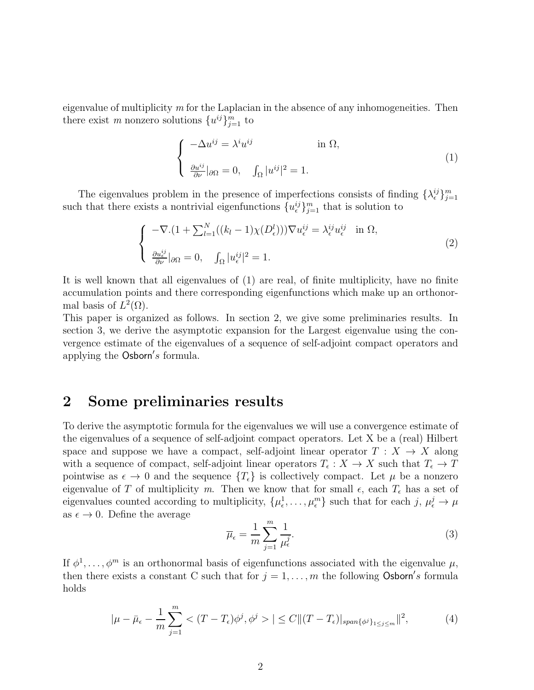eigenvalue of multiplicity *m* for the Laplacian in the absence of any inhomogeneities. Then there exist *m* nonzero solutions  $\{u^{ij}\}_{j=1}^m$  to

$$
\begin{cases}\n-\Delta u^{ij} = \lambda^i u^{ij} & \text{in } \Omega, \\
\frac{\partial u^{ij}}{\partial \nu}|_{\partial \Omega} = 0, \quad \int_{\Omega} |u^{ij}|^2 = 1.\n\end{cases}
$$
\n(1)

The eigenvalues problem in the presence of imperfections consists of finding  $\{\lambda_{\epsilon}^{ij}\}_{j=1}^m$ such that there exists a nontrivial eigenfunctions  $\{u_{\epsilon}^{ij}\}_{j=1}^m$  that is solution to

$$
\begin{cases}\n-\nabla \cdot (1 + \sum_{l=1}^{N} ((k_l - 1)\chi(D^l_{\epsilon}))) \nabla u_{\epsilon}^{ij} = \lambda_{\epsilon}^{ij} u_{\epsilon}^{ij} & \text{in } \Omega, \\
\frac{\partial u_{\epsilon}^{ij}}{\partial \nu} |_{\partial \Omega} = 0, \quad \int_{\Omega} |u_{\epsilon}^{ij}|^2 = 1.\n\end{cases}
$$
\n(2)

It is well known that all eigenvalues of (1) are real, of finite multiplicity, have no finite accumulation points and there corresponding eigenfunctions which make up an orthonormal basis of  $L^2(\Omega)$ .

This paper is organized as follows. In section 2, we give some preliminaries results. In section 3, we derive the asymptotic expansion for the Largest eigenvalue using the convergence estimate of the eigenvalues of a sequence of self-adjoint compact operators and applying the Osborn's formula.

### 2 Some preliminaries results

To derive the asymptotic formula for the eigenvalues we will use a convergence estimate of the eigenvalues of a sequence of self-adjoint compact operators. Let X be a (real) Hilbert space and suppose we have a compact, self-adjoint linear operator  $T : X \to X$  along with a sequence of compact, self-adjoint linear operators  $T_{\epsilon}: X \to X$  such that  $T_{\epsilon} \to T$ pointwise as  $\epsilon \to 0$  and the sequence  $\{T_{\epsilon}\}\$ is collectively compact. Let  $\mu$  be a nonzero eigenvalue of T of multiplicity m. Then we know that for small  $\epsilon$ , each  $T_{\epsilon}$  has a set of eigenvalues counted according to multiplicity,  $\{\mu_{\epsilon}^1, \ldots, \mu_{\epsilon}^m\}$  such that for each  $j, \mu_{\epsilon}^j \to \mu$ as  $\epsilon \to 0$ . Define the average

$$
\overline{\mu}_{\epsilon} = \frac{1}{m} \sum_{j=1}^{m} \frac{1}{\mu_{\epsilon}^{j}}.
$$
\n(3)

If  $\phi^1, \ldots, \phi^m$  is an orthonormal basis of eigenfunctions associated with the eigenvalue  $\mu$ , then there exists a constant C such that for  $j = 1, \ldots, m$  the following Osborn's formula holds

$$
|\mu - \bar{\mu}_{\epsilon} - \frac{1}{m} \sum_{j=1}^{m} < (T - T_{\epsilon})\phi^{j}, \phi^{j} > | \leq C \| (T - T_{\epsilon})|_{\text{span}\{\phi^{j}\}_{1 \leq j \leq m}} \|^{2},\tag{4}
$$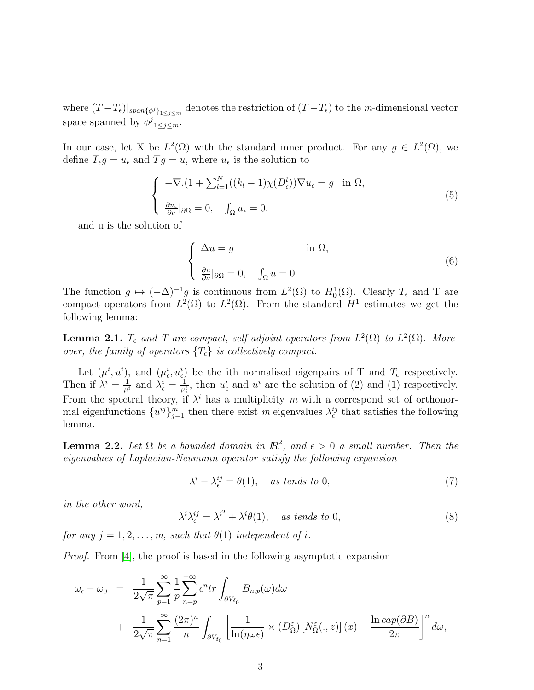where  $(T - T_{\epsilon})|_{span{\{\phi^j\}}_{1 \leq j \leq m}}$  denotes the restriction of  $(T - T_{\epsilon})$  to the *m*-dimensional vector space spanned by  $\phi^j_{1 \leq j \leq m}$ .

In our case, let X be  $L^2(\Omega)$  with the standard inner product. For any  $g \in L^2(\Omega)$ , we define  $T_{\epsilon}g = u_{\epsilon}$  and  $T g = u$ , where  $u_{\epsilon}$  is the solution to

$$
\begin{cases}\n-\nabla.(1 + \sum_{l=1}^{N} ((k_l - 1)\chi(D^l_{\epsilon}))\nabla u_{\epsilon} = g \quad \text{in } \Omega, \\
\frac{\partial u_{\epsilon}}{\partial \nu}|_{\partial \Omega} = 0, \quad \int_{\Omega} u_{\epsilon} = 0,\n\end{cases} \tag{5}
$$

and u is the solution of

$$
\begin{cases} \Delta u = g & \text{in } \Omega, \\ \frac{\partial u}{\partial \nu}|_{\partial \Omega} = 0, \quad \int_{\Omega} u = 0. \end{cases}
$$
 (6)

The function  $g \mapsto (-\Delta)^{-1}g$  is continuous from  $L^2(\Omega)$  to  $H_0^1(\Omega)$ . Clearly  $T_{\epsilon}$  and T are compact operators from  $L^2(\Omega)$  to  $L^2(\Omega)$ . From the standard  $H^1$  estimates we get the following lemma:

**Lemma 2.1.**  $T_{\epsilon}$  and  $T$  are compact, self-adjoint operators from  $L^2(\Omega)$  to  $L^2(\Omega)$ . More*over, the family of operators*  $\{T_{\epsilon}\}\$ is collectively compact.

Let  $(\mu^i, u^i)$ , and  $(\mu^i_{\epsilon}, u^i_{\epsilon})$  be the ith normalised eigenpairs of T and  $T_{\epsilon}$  respectively. Then if  $\lambda^i = \frac{1}{\mu^i}$  and  $\lambda^i_{\epsilon} = \frac{1}{\mu^i_{\epsilon}}$ , then  $u^i_{\epsilon}$  and  $u^i$  are the solution of (2) and (1) respectively. From the spectral theory, if  $\lambda^i$  has a multiplicity m with a correspond set of orthonormal eigenfunctions  $\{u^{ij}\}_{j=1}^m$  then there exist *m* eigenvalues  $\lambda_{\epsilon}^{ij}$  that satisfies the following lemma.

**Lemma 2.2.** Let  $\Omega$  be a bounded domain in  $\mathbb{R}^2$ , and  $\epsilon > 0$  a small number. Then the *eigenvalues of Laplacian-Neumann operator satisfy the following expansion*

$$
\lambda^{i} - \lambda_{\epsilon}^{ij} = \theta(1), \quad \text{as tends to 0}, \tag{7}
$$

*in the other word,*

$$
\lambda^{i} \lambda_{\epsilon}^{ij} = \lambda^{i^{2}} + \lambda^{i} \theta(1), \quad \text{as tends to 0}, \tag{8}
$$

*for any*  $j = 1, 2, \ldots, m$ , *such that*  $\theta(1)$  *independent of i.* 

*Proof.* From [\[4\]](#page-13-3), the proof is based in the following asymptotic expansion

$$
\omega_{\epsilon} - \omega_0 = \frac{1}{2\sqrt{\pi}} \sum_{p=1}^{\infty} \frac{1}{p} \sum_{n=p}^{+\infty} \epsilon^n tr \int_{\partial V_{\delta_0}} B_{n,p}(\omega) d\omega \n+ \frac{1}{2\sqrt{\pi}} \sum_{n=1}^{\infty} \frac{(2\pi)^n}{n} \int_{\partial V_{\delta_0}} \left[ \frac{1}{\ln(\eta \omega \epsilon)} \times (D_{\Omega}^{\epsilon}) \left[ N_{\Omega}^{\epsilon}(\cdot, z) \right] (x) - \frac{\ln \exp(\partial B)}{2\pi} \right]^n d\omega,
$$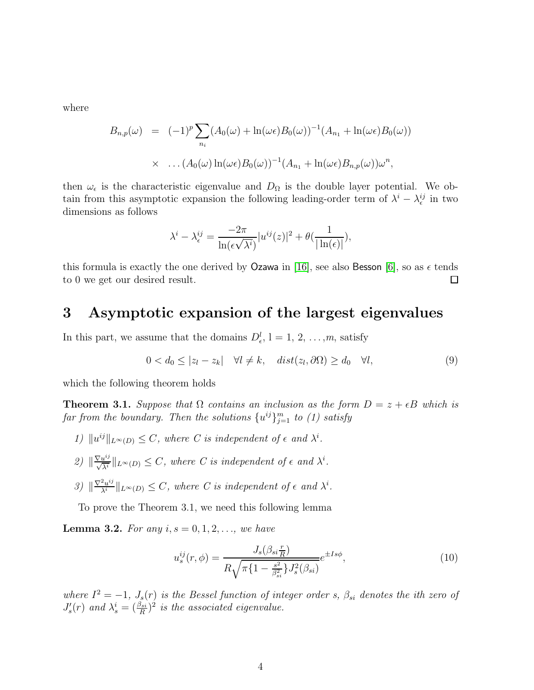where

$$
B_{n,p}(\omega) = (-1)^p \sum_{n_i} (A_0(\omega) + \ln(\omega \epsilon) B_0(\omega))^{-1} (A_{n_1} + \ln(\omega \epsilon) B_0(\omega))
$$
  
 
$$
\times \dots (A_0(\omega) \ln(\omega \epsilon) B_0(\omega))^{-1} (A_{n_1} + \ln(\omega \epsilon) B_{n,p}(\omega)) \omega^n,
$$

then  $\omega_{\epsilon}$  is the characteristic eigenvalue and  $D_{\Omega}$  is the double layer potential. We obtain from this asymptotic expansion the following leading-order term of  $\lambda^i - \lambda^{ij}_\epsilon$  in two dimensions as follows

$$
\lambda^{i} - \lambda_{\epsilon}^{ij} = \frac{-2\pi}{\ln(\epsilon\sqrt{\lambda^{i}})}|u^{ij}(z)|^{2} + \theta(\frac{1}{|\ln(\epsilon)|}),
$$

this formula is exactly the one derived by Ozawa in [\[16\]](#page-14-4), see also Besson [\[6\]](#page-13-4), so as  $\epsilon$  tends to 0 we get our desired result. □

### 3 Asymptotic expansion of the largest eigenvalues

In this part, we assume that the domains  $D_{\epsilon}^{l}$ ,  $l = 1, 2, ..., m$ , satisfy

$$
0 < d_0 \le |z_l - z_k| \quad \forall l \ne k, \quad dist(z_l, \partial \Omega) \ge d_0 \quad \forall l,
$$
\n
$$
(9)
$$

which the following theorem holds

**Theorem 3.1.** *Suppose that*  $\Omega$  *contains an inclusion as the form*  $D = z + \epsilon B$  *which is*  $\int f(x) \, dx$  *from the boundary. Then the solutions*  $\{u^{ij}\}_{j=1}^m$  *to (1) satisfy* 

- *1*)  $||u^{ij}||_{L^{\infty}(D)} \leq C$ , where *C* is independent of  $\epsilon$  and  $\lambda^{i}$ .
- $\mathcal{L}(\mathcal{D}) \leq \sum_{\lambda} \mathcal{L}(\mathcal{D}) \leq C$ , where *C* is independent of  $\epsilon$  and  $\lambda^i$ .
- $\mathcal{L}(\mathcal{S}) \|\overline{\lambda^{i}}\|_{L^{\infty}(D)} \leq C$ , where *C* is independent of  $\epsilon$  and  $\lambda^{i}$ .

To prove the Theorem 3.1, we need this following lemma

**Lemma 3.2.** For any  $i, s = 0, 1, 2, \ldots$ , we have

$$
u_s^{ij}(r,\phi) = \frac{J_s(\beta_{si}\frac{r}{R})}{R\sqrt{\pi\{1 - \frac{s^2}{\beta_{si}^2}\}J_s^2(\beta_{si})}}e^{\pm Is\phi},\tag{10}
$$

*where*  $I^2 = -1$ ,  $J_s(r)$  *is the Bessel function of integer order s,*  $\beta_{si}$  *denotes the ith zero of*  $J'_{s}(r)$  and  $\lambda_{s}^{i} = (\frac{\beta_{si}}{R})^{2}$  is the associated eigenvalue.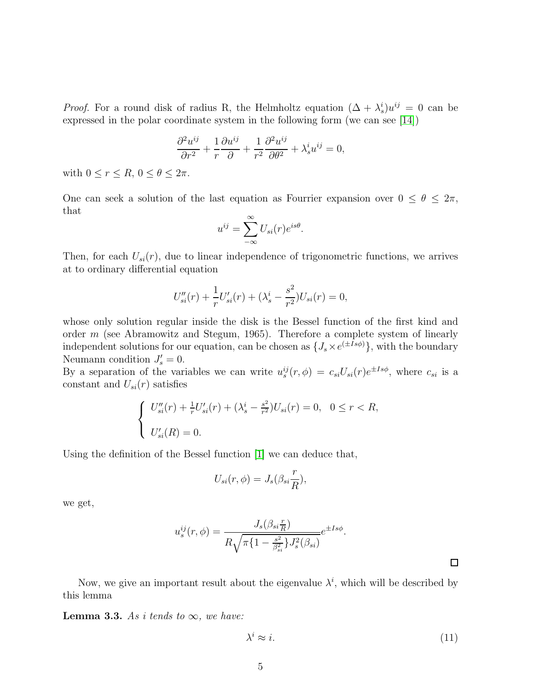*Proof.* For a round disk of radius R, the Helmholtz equation  $(\Delta + \lambda_s^i)u^{ij} = 0$  can be expressed in the polar coordinate system in the following form (we can see [\[14\]](#page-14-5))

$$
\frac{\partial^2 u^{ij}}{\partial r^2} + \frac{1}{r} \frac{\partial u^{ij}}{\partial r^2} + \frac{1}{r^2} \frac{\partial^2 u^{ij}}{\partial \theta^2} + \lambda_s^i u^{ij} = 0,
$$

with  $0 \leq r \leq R$ ,  $0 \leq \theta \leq 2\pi$ .

One can seek a solution of the last equation as Fourrier expansion over  $0 \le \theta \le 2\pi$ , that

$$
u^{ij} = \sum_{-\infty}^{\infty} U_{si}(r)e^{is\theta}.
$$

Then, for each  $U_{si}(r)$ , due to linear independence of trigonometric functions, we arrives at to ordinary differential equation

$$
U''_{si}(r) + \frac{1}{r}U'_{si}(r) + (\lambda_s^i - \frac{s^2}{r^2})U_{si}(r) = 0,
$$

whose only solution regular inside the disk is the Bessel function of the first kind and order  $m$  (see Abramowitz and Stegum, 1965). Therefore a complete system of linearly independent solutions for our equation, can be chosen as  $\{J_s \times e^{(\pm Is\phi)}\}$ , with the boundary Neumann condition  $J'_{s} = 0$ .

By a separation of the variables we can write  $u_s^{ij}(r,\phi) = c_{si}U_{si}(r)e^{\pm Is\phi}$ , where  $c_{si}$  is a constant and  $U_{si}(r)$  satisfies

$$
\begin{cases}\nU''_{si}(r) + \frac{1}{r}U'_{si}(r) + (\lambda_s^i - \frac{s^2}{r^2})U_{si}(r) = 0, & 0 \le r < R, \\
U'_{si}(R) = 0.\n\end{cases}
$$

Using the definition of the Bessel function [\[1\]](#page-13-5) we can deduce that,

$$
U_{si}(r,\phi) = J_s(\beta_{si}\frac{r}{R}),
$$

we get,

$$
u_s^{ij}(r,\phi) = \frac{J_s(\beta_{si}\frac{r}{R})}{R\sqrt{\pi\{1-\frac{s^2}{\beta_{si}^2}\}J_s^2(\beta_{si})}}e^{\pm Is\phi}.
$$

Now, we give an important result about the eigenvalue  $\lambda^i$ , which will be described by this lemma

**Lemma 3.3.** As i tends to  $\infty$ , we have:

$$
\lambda^i \approx i. \tag{11}
$$

 $\Box$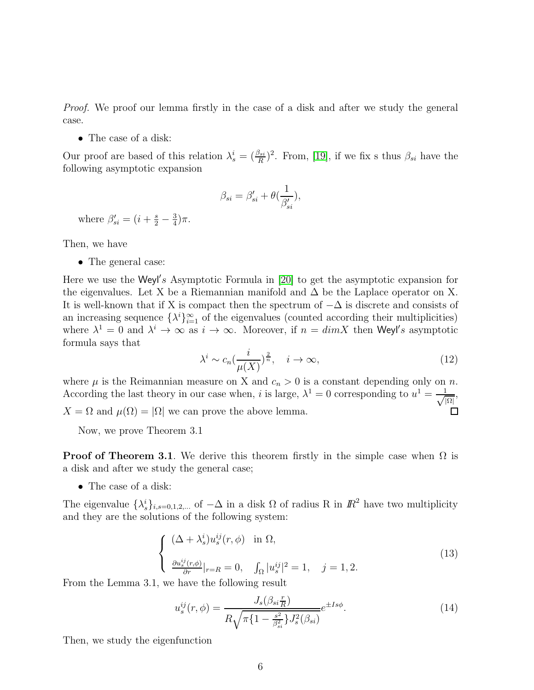*Proof.* We proof our lemma firstly in the case of a disk and after we study the general case.

• The case of a disk:

Our proof are based of this relation  $\lambda_s^i = (\frac{\beta_{si}}{R})^2$ . From, [\[19\]](#page-14-6), if we fix s thus  $\beta_{si}$  have the following asymptotic expansion

$$
\beta_{si} = \beta'_{si} + \theta(\frac{1}{\beta'_{si}}),
$$

where  $\beta'_{si} = (i + \frac{s}{2} - \frac{3}{4})$  $\frac{3}{4}$ ) $\pi$ .

Then, we have

• The general case:

Here we use the Weyl's Asymptotic Formula in [\[20\]](#page-14-7) to get the asymptotic expansion for the eigenvalues. Let X be a Riemannian manifold and  $\Delta$  be the Laplace operator on X. It is well-known that if X is compact then the spectrum of  $-\Delta$  is discrete and consists of an increasing sequence  $\{\lambda^i\}_{i=1}^{\infty}$  of the eigenvalues (counted according their multiplicities) where  $\lambda^1 = 0$  and  $\lambda^i \to \infty$  as  $i \to \infty$ . Moreover, if  $n = dim X$  then Weyl's asymptotic formula says that

$$
\lambda^i \sim c_n \left(\frac{i}{\mu(X)}\right)^{\frac{2}{n}}, \quad i \to \infty,
$$
\n(12)

where  $\mu$  is the Reimannian measure on X and  $c_n > 0$  is a constant depending only on n. According the last theory in our case when, i is large,  $\lambda^1 = 0$  corresponding to  $u^1 = \frac{1}{\sqrt{2}}$ , |Ω|  $X = \Omega$  and  $\mu(\Omega) = |\Omega|$  we can prove the above lemma. 囗

Now, we prove Theorem 3.1

**Proof of Theorem 3.1.** We derive this theorem firstly in the simple case when  $\Omega$  is a disk and after we study the general case;

• The case of a disk:

The eigenvalue  $\{\lambda_s^i\}_{i,s=0,1,2,...}$  of  $-\Delta$  in a disk  $\Omega$  of radius R in  $\mathbb{R}^2$  have two multiplicity and they are the solutions of the following system:

$$
\begin{cases}\n(\Delta + \lambda_s^i) u_s^{ij}(r, \phi) & \text{in } \Omega, \\
\frac{\partial u_s^{ij}(r, \phi)}{\partial r}|_{r=R} = 0, \quad \int_{\Omega} |u_s^{ij}|^2 = 1, \quad j = 1, 2.\n\end{cases}
$$
\n(13)

From the Lemma 3.1, we have the following result

$$
u_s^{ij}(r,\phi) = \frac{J_s(\beta_{si}\frac{r}{R})}{R\sqrt{\pi\{1 - \frac{s^2}{\beta_{si}^2}\}J_s^2(\beta_{si})}}e^{\pm Is\phi}.
$$
 (14)

Then, we study the eigenfunction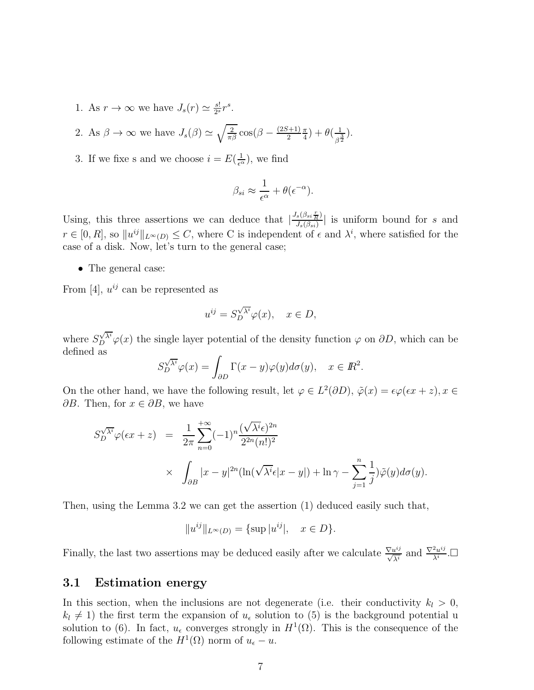1. As  $r \to \infty$  we have  $J_s(r) \simeq \frac{s!}{2^s}$  $rac{s!}{2^s}r^s.$ 

2. As  $\beta \to \infty$  we have  $J_s(\beta) \simeq \sqrt{\frac{2}{\pi \beta}} \cos(\beta - \frac{(2S+1)}{2})$ 2 π  $(\frac{\pi}{4})+\theta(\frac{1}{\beta^2})$  $\frac{1}{\beta^{\frac{3}{2}}}).$ 

3. If we fixe s and we choose  $i = E(\frac{1}{\epsilon^{\alpha}})$ , we find

$$
\beta_{si} \approx \frac{1}{\epsilon^{\alpha}} + \theta(\epsilon^{-\alpha}).
$$

Using, this three assertions we can deduce that  $\left|\frac{J_s(\beta_{si} \frac{r}{R})}{J_s(\beta_{si})}\right|$  $\frac{s(\beta s i \overline{R})}{J_s(\beta_{si})}$  is uniform bound for s and  $r \in [0, R]$ , so  $||u^{ij}||_{L^{\infty}(D)} \leq C$ , where C is independent of  $\epsilon$  and  $\lambda^{i}$ , where satisfied for the case of a disk. Now, let's turn to the general case;

• The general case:

From [4],  $u^{ij}$  can be represented as

$$
u^{ij} = S_D^{\sqrt{\lambda^i}} \varphi(x), \quad x \in D,
$$

where  $S_D^{\sqrt{\lambda^i}}\varphi(x)$  the single layer potential of the density function  $\varphi$  on  $\partial D$ , which can be defined as

$$
S_D^{\sqrt{\lambda^i}} \varphi(x) = \int_{\partial D} \Gamma(x - y) \varphi(y) d\sigma(y), \quad x \in I\!\!R^2.
$$

On the other hand, we have the following result, let  $\varphi \in L^2(\partial D)$ ,  $\tilde{\varphi}(x) = \epsilon \varphi(\epsilon x + z)$ ,  $x \in$  $\partial B$ . Then, for  $x \in \partial B$ , we have

$$
S_D^{\sqrt{\lambda^i}} \varphi(\epsilon x + z) = \frac{1}{2\pi} \sum_{n=0}^{+\infty} (-1)^n \frac{(\sqrt{\lambda^i} \epsilon)^{2n}}{2^{2n} (n!)^2}
$$
  
 
$$
\times \int_{\partial B} |x - y|^{2n} (\ln(\sqrt{\lambda^i} \epsilon |x - y|) + \ln \gamma - \sum_{j=1}^n \frac{1}{j}) \tilde{\varphi}(y) d\sigma(y).
$$

Then, using the Lemma 3.2 we can get the assertion (1) deduced easily such that,

$$
||u^{ij}||_{L^{\infty}(D)} = {\sup |u^{ij}|, x \in D}.
$$

Finally, the last two assertions may be deduced easily after we calculate  $\frac{\nabla u^{ij}}{\sqrt{\lambda^i}}$  and  $\frac{\nabla^2 u^{ij}}{\lambda^i}$  $\frac{2u^{ij}}{\lambda^i}$ . $\Box$ 

#### 3.1 Estimation energy

In this section, when the inclusions are not degenerate (i.e. their conductivity  $k_l > 0$ ,  $k_l \neq 1$ ) the first term the expansion of  $u_\epsilon$  solution to (5) is the background potential u solution to (6). In fact,  $u_{\epsilon}$  converges strongly in  $H^1(\Omega)$ . This is the consequence of the following estimate of the  $H^1(\Omega)$  norm of  $u_{\epsilon} - u$ .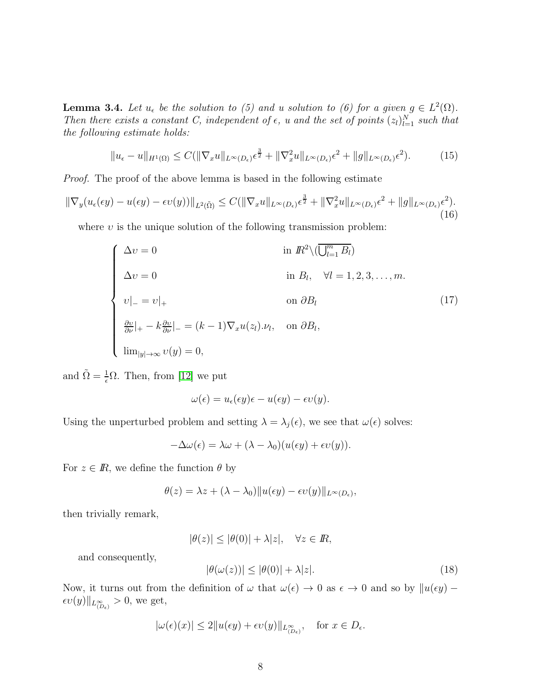**Lemma 3.4.** Let  $u_{\epsilon}$  be the solution to (5) and u solution to (6) for a given  $g \in L^2(\Omega)$ . *Then there exists a constant C, independent of*  $\epsilon$ *, u and the set of points*  $(z_l)_{l=1}^N$  *such that the following estimate holds:*

$$
||u_{\epsilon} - u||_{H^1(\Omega)} \le C(||\nabla_x u||_{L^{\infty}(D_{\epsilon})}\epsilon^{\frac{3}{2}} + ||\nabla_x^2 u||_{L^{\infty}(D_{\epsilon})}\epsilon^2 + ||g||_{L^{\infty}(D_{\epsilon})}\epsilon^2). \tag{15}
$$

*Proof.* The proof of the above lemma is based in the following estimate

$$
\|\nabla_y(u_\epsilon(\epsilon y) - u(\epsilon y) - \epsilon v(y))\|_{L^2(\tilde{\Omega})} \le C(\|\nabla_x u\|_{L^\infty(D_\epsilon)}\epsilon^{\frac{3}{2}} + \|\nabla_x^2 u\|_{L^\infty(D_\epsilon)}\epsilon^2 + \|g\|_{L^\infty(D_\epsilon)}\epsilon^2). \tag{16}
$$

where  $v$  is the unique solution of the following transmission problem:

$$
\begin{cases}\n\Delta v = 0 & \text{in } \mathbb{R}^2 \setminus (\overline{\bigcup_{l=1}^m B_l}) \\
\Delta v = 0 & \text{in } B_l, \quad \forall l = 1, 2, 3, \dots, m.\n\end{cases}
$$
\n
$$
v|_{-} = v|_{+}
$$
\n
$$
v|_{-} = v|_{+}
$$
\n
$$
\frac{\partial v}{\partial \nu}|_{+} - k \frac{\partial v}{\partial \nu}|_{-} = (k - 1) \nabla_x u(z_l) . v_l, \quad \text{on } \partial B_l,
$$
\n
$$
\lim_{|y| \to \infty} v(y) = 0,
$$
\n(17)

and  $\tilde{\Omega} = \frac{1}{\epsilon} \Omega$ . Then, from [\[12\]](#page-14-8) we put

$$
\omega(\epsilon) = u_{\epsilon}(\epsilon y)\epsilon - u(\epsilon y) - \epsilon v(y).
$$

Using the unperturbed problem and setting  $\lambda = \lambda_j(\epsilon)$ , we see that  $\omega(\epsilon)$  solves:

 $-\Delta\omega(\epsilon) = \lambda\omega + (\lambda - \lambda_0)(u(\epsilon y) + \epsilon v(y)).$ 

For  $z \in \mathbb{R}$ , we define the function  $\theta$  by

$$
\theta(z) = \lambda z + (\lambda - \lambda_0) ||u(\epsilon y) - \epsilon v(y)||_{L^{\infty}(D_{\epsilon})},
$$

then trivially remark,

$$
|\theta(z)| \le |\theta(0)| + \lambda |z|, \quad \forall z \in I\!\!R,
$$

and consequently,

$$
|\theta(\omega(z))| \le |\theta(0)| + \lambda |z|. \tag{18}
$$

Now, it turns out from the definition of  $\omega$  that  $\omega(\epsilon) \to 0$  as  $\epsilon \to 0$  and so by  $\|u(\epsilon y) \epsilon v(y)\|_{L^{\infty}_{(D_{\epsilon})}}>0,$  we get,

$$
|\omega(\epsilon)(x)| \le 2||u(\epsilon y) + \epsilon v(y)||_{L^{\infty}_{(D\epsilon)}}, \quad \text{for } x \in D_{\epsilon}.
$$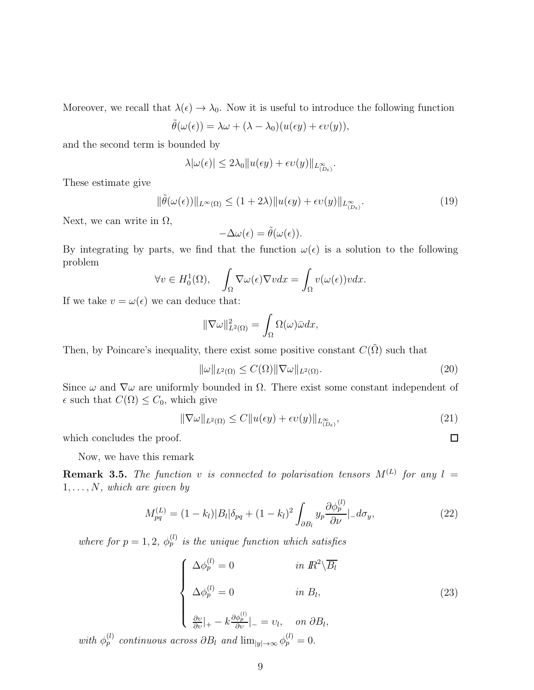Moreover, we recall that  $\lambda(\epsilon) \to \lambda_0$ . Now it is useful to introduce the following function

$$
\tilde{\theta}(\omega(\epsilon)) = \lambda \omega + (\lambda - \lambda_0)(u(\epsilon y) + \epsilon v(y)),
$$

and the second term is bounded by

$$
\lambda |\omega(\epsilon)| \leq 2\lambda_0 \|u(\epsilon y) + \epsilon v(y)\|_{L^{\infty}_{(D\epsilon)}}.
$$

These estimate give

$$
\|\tilde{\theta}(\omega(\epsilon))\|_{L^{\infty}(\Omega)} \le (1+2\lambda) \|u(\epsilon y) + \epsilon v(y)\|_{L^{\infty}_{(D_{\epsilon})}}.
$$
\n(19)

Next, we can write in  $\Omega$ ,

$$
-\Delta\omega(\epsilon) = \tilde{\theta}(\omega(\epsilon)).
$$

By integrating by parts, we find that the function  $\omega(\epsilon)$  is a solution to the following problem

$$
\forall v \in H_0^1(\Omega), \quad \int_{\Omega} \nabla \omega(\epsilon) \nabla v dx = \int_{\Omega} v(\omega(\epsilon)) v dx.
$$

If we take  $v = \omega(\epsilon)$  we can deduce that:

$$
\|\nabla\omega\|_{L^2(\Omega)}^2 = \int_{\Omega} \Omega(\omega)\bar{\omega}dx,
$$

Then, by Poincare's inequality, there exist some positive constant  $C(\tilde{\Omega})$  such that

$$
\|\omega\|_{L^2(\Omega)} \le C(\Omega) \|\nabla \omega\|_{L^2(\Omega)}.
$$
\n(20)

Since  $\omega$  and  $\nabla \omega$  are uniformly bounded in  $\Omega$ . There exist some constant independent of  $\epsilon$  such that  $C(\Omega) \leq C_0$ , which give

$$
\|\nabla\omega\|_{L^2(\Omega)} \le C\|u(\epsilon y) + \epsilon v(y)\|_{L^{\infty}_{(D_{\epsilon})}},\tag{21}
$$

which concludes the proof.

Now, we have this remark

**Remark 3.5.** The function v is connected to polarisation tensors  $M^{(L)}$  for any  $l =$ 1, . . . , N*, which are given by*

$$
M_{pq}^{(L)} = (1 - k_l)|B_l|\delta_{pq} + (1 - k_l)^2 \int_{\partial B_l} y_p \frac{\partial \phi_p^{(l)}}{\partial \nu}|_{-} d\sigma_y, \qquad (22)
$$

where for  $p = 1, 2, \phi_p^{(l)}$  is the unique function which satisfies

$$
\begin{cases}\n\Delta \phi_p^{(l)} = 0 & \text{in } \mathbb{R}^2 \backslash \overline{B_l} \\
\Delta \phi_p^{(l)} = 0 & \text{in } B_l, \\
\frac{\partial v}{\partial v}|_{+} - k \frac{\partial \phi_p^{(l)}}{\partial v}|_{-} = v_l, & \text{on } \partial B_l,\n\end{cases}
$$
\n(23)

*with*  $\phi_p^{(l)}$  *continuous across*  $\partial B_l$  *and*  $\lim_{|y| \to \infty} \phi_p^{(l)} = 0$ .

 $\Box$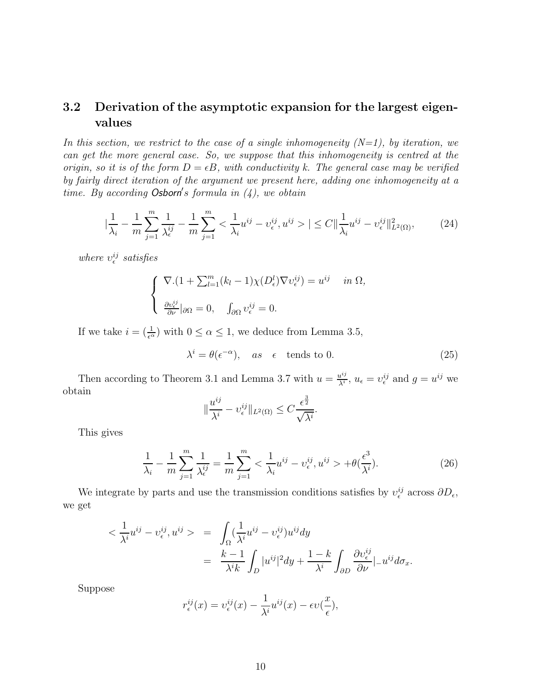#### 3.2 Derivation of the asymptotic expansion for the largest eigenvalues

*In this section, we restrict to the case of a single inhomogeneity (N=1), by iteration, we can get the more general case. So, we suppose that this inhomogeneity is centred at the origin, so it is of the form*  $D = \epsilon B$ *, with conductivity k. The general case may be verified by fairly direct iteration of the argument we present here, adding one inhomogeneity at a time. By according* Osborn′ s *formula in (4), we obtain*

$$
\left|\frac{1}{\lambda_i} - \frac{1}{m} \sum_{j=1}^m \frac{1}{\lambda_{\epsilon}^{ij}} - \frac{1}{m} \sum_{j=1}^m \langle \frac{1}{\lambda_i} u^{ij} - v_{\epsilon}^{ij}, u^{ij} \rangle \right| \le C \|\frac{1}{\lambda_i} u^{ij} - v_{\epsilon}^{ij}\|_{L^2(\Omega)}^2, \tag{24}
$$

 $where v_{\epsilon}^{ij}$  satisfies

$$
\begin{cases} \nabla \cdot (1 + \sum_{l=1}^{m} (k_l - 1) \chi(D_{\epsilon}^l) \nabla v_{\epsilon}^{ij}) = u^{ij} & \text{in } \Omega, \\ \nabla \cdot \frac{\partial v_{\epsilon}^{ij}}{\partial \nu} |_{\partial \Omega} = 0, \quad \int_{\partial \Omega} v_{\epsilon}^{ij} = 0. \n\end{cases}
$$

If we take  $i = \left(\frac{1}{\epsilon^{\alpha}}\right)$  with  $0 \leq \alpha \leq 1$ , we deduce from Lemma 3.5,

$$
\lambda^{i} = \theta(\epsilon^{-\alpha}), \quad \text{as} \quad \epsilon \quad \text{tends to 0.} \tag{25}
$$

Then according to Theorem 3.1 and Lemma 3.7 with  $u = \frac{u^{ij}}{\lambda^i}$  $u_i^{ij}$ ,  $u_{\epsilon} = v_{\epsilon}^{ij}$  and  $g = u^{ij}$  we obtain

$$
\|\frac{u^{ij}}{\lambda^i} - v^{ij}_{\epsilon}\|_{L^2(\Omega)} \le C \frac{\epsilon^{\frac{3}{2}}}{\sqrt{\lambda^i}}.
$$

This gives

$$
\frac{1}{\lambda_i} - \frac{1}{m} \sum_{j=1}^m \frac{1}{\lambda_{\epsilon}^{ij}} = \frac{1}{m} \sum_{j=1}^m \langle \frac{1}{\lambda_i} u^{ij} - v_{\epsilon}^{ij}, u^{ij} \rangle + \theta \left( \frac{\epsilon^3}{\lambda^i} \right).
$$
 (26)

We integrate by parts and use the transmission conditions satisfies by  $v_{\epsilon}^{ij}$  across  $\partial D_{\epsilon}$ , we get

$$
\langle \frac{1}{\lambda^{i}} u^{ij} - v^{ij}_{\epsilon}, u^{ij} \rangle = \int_{\Omega} (\frac{1}{\lambda^{i}} u^{ij} - v^{ij}_{\epsilon}) u^{ij} dy
$$
  

$$
= \frac{k-1}{\lambda^{i} k} \int_{D} |u^{ij}|^{2} dy + \frac{1-k}{\lambda^{i}} \int_{\partial D} \frac{\partial v^{ij}_{\epsilon}}{\partial \nu} |_{-} u^{ij} d\sigma_{x}.
$$

Suppose

$$
r_{\epsilon}^{ij}(x) = \upsilon_{\epsilon}^{ij}(x) - \frac{1}{\lambda^{i}} u^{ij}(x) - \epsilon \upsilon(\frac{x}{\epsilon}),
$$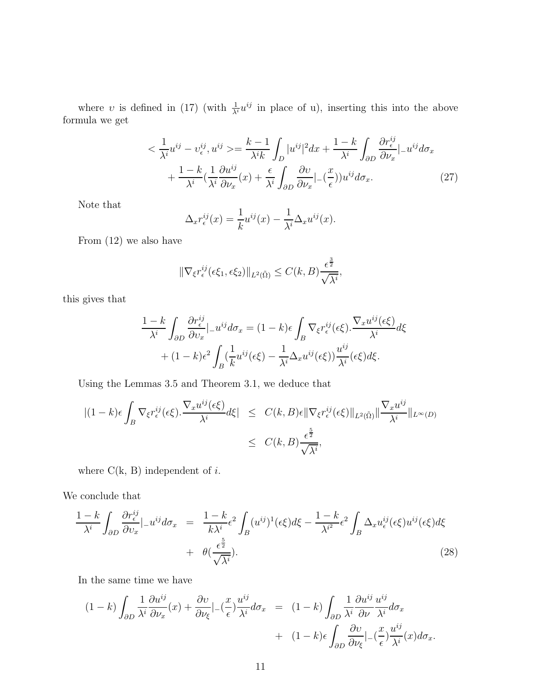where v is defined in (17) (with  $\frac{1}{\lambda^{i}}u^{ij}$  in place of u), inserting this into the above formula we get

$$
\langle \frac{1}{\lambda^{i}} u^{ij} - v^{ij}_{\epsilon}, u^{ij} \rangle = \frac{k-1}{\lambda^{i} k} \int_{D} |u^{ij}|^{2} dx + \frac{1-k}{\lambda^{i}} \int_{\partial D} \frac{\partial r^{ij}_{\epsilon}}{\partial \nu_{x}} |_{-} u^{ij} d\sigma_{x} + \frac{1-k}{\lambda^{i}} \left( \frac{1}{\lambda^{i}} \frac{\partial u^{ij}}{\partial \nu_{x}} (x) + \frac{\epsilon}{\lambda^{i}} \int_{\partial D} \frac{\partial v}{\partial \nu_{x}} |_{-} (\frac{x}{\epsilon}) u^{ij} d\sigma_{x}.
$$
 (27)

Note that

$$
\Delta_x r^{ij}_{\epsilon}(x) = \frac{1}{k} u^{ij}(x) - \frac{1}{\lambda^i} \Delta_x u^{ij}(x).
$$

From (12) we also have

$$
\|\nabla_{\xi} r_{\epsilon}^{ij}(\epsilon\xi_1,\epsilon\xi_2)\|_{L^2(\tilde{\Omega})}\leq C(k,B)\frac{\epsilon^{\frac{3}{2}}}{\sqrt{\lambda^i}},
$$

this gives that

$$
\frac{1-k}{\lambda^i} \int_{\partial D} \frac{\partial r_{\epsilon}^{ij}}{\partial v_x} \Big|_{-} u^{ij} d\sigma_x = (1-k)\epsilon \int_B \nabla_{\xi} r_{\epsilon}^{ij} (\epsilon \xi) \cdot \frac{\nabla_x u^{ij} (\epsilon \xi)}{\lambda^i} d\xi
$$

$$
+ (1-k)\epsilon^2 \int_B (\frac{1}{k} u^{ij} (\epsilon \xi) - \frac{1}{\lambda^i} \Delta_x u^{ij} (\epsilon \xi)) \frac{u^{ij}}{\lambda^i} (\epsilon \xi) d\xi.
$$

Using the Lemmas 3.5 and Theorem 3.1, we deduce that

$$
\begin{array}{rcl} \displaystyle | (1-k)\epsilon\int_{B} \nabla_{\xi} r_{\epsilon}^{ij}(\epsilon\xi). \frac{\nabla_{x} u^{ij}(\epsilon\xi)}{\lambda^{i}} d\xi | & \leq & C(k,B)\epsilon \| \nabla_{\xi} r_{\epsilon}^{ij}(\epsilon\xi) \|_{L^{2}(\tilde{\Omega})} \| \frac{\nabla_{x} u^{ij}}{\lambda^{i}} \|_{L^{\infty}(D)} \\ & \leq & C(k,B)\frac{\epsilon^{\frac{5}{2}}}{\sqrt{\lambda^{i}}}, \end{array}
$$

where  $C(k, B)$  independent of i.

We conclude that

$$
\frac{1-k}{\lambda^i} \int_{\partial D} \frac{\partial r_{\epsilon}^{ij}}{\partial v_x} |_{-} u^{ij} d\sigma_x = \frac{1-k}{k\lambda^i} \epsilon^2 \int_B (u^{ij})^1 (\epsilon \xi) d\xi - \frac{1-k}{\lambda^{i^2}} \epsilon^2 \int_B \Delta_x u_{\epsilon}^{ij} (\epsilon \xi) u^{ij} (\epsilon \xi) d\xi + \theta(\frac{\epsilon^{\frac{5}{2}}}{\sqrt{\lambda^i}}). \tag{28}
$$

In the same time we have

$$
(1-k)\int_{\partial D} \frac{1}{\lambda^i} \frac{\partial u^{ij}}{\partial \nu_x}(x) + \frac{\partial v}{\partial \nu_{\xi}} \Big|_{-} (\frac{x}{\epsilon}) \frac{u^{ij}}{\lambda^i} d\sigma_x = (1-k)\int_{\partial D} \frac{1}{\lambda^i} \frac{\partial u^{ij}}{\partial \nu} \frac{u^{ij}}{\lambda^i} d\sigma_x + (1-k)\epsilon \int_{\partial D} \frac{\partial v}{\partial \nu_{\xi}} \Big|_{-} (\frac{x}{\epsilon}) \frac{u^{ij}}{\lambda^i}(x) d\sigma_x.
$$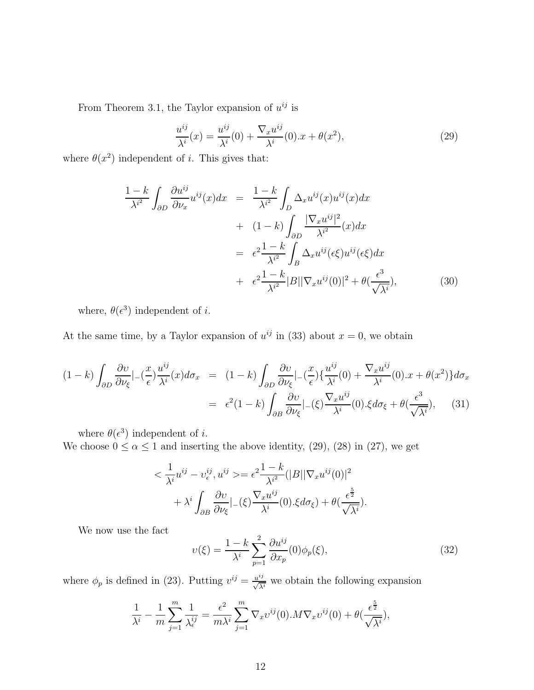From Theorem 3.1, the Taylor expansion of  $u^{ij}$  is

$$
\frac{u^{ij}}{\lambda^i}(x) = \frac{u^{ij}}{\lambda^i}(0) + \frac{\nabla_x u^{ij}}{\lambda^i}(0).x + \theta(x^2),
$$
\n(29)

where  $\theta(x^2)$  independent of *i*. This gives that:

$$
\frac{1-k}{\lambda^{i^2}} \int_{\partial D} \frac{\partial u^{ij}}{\partial \nu_x} u^{ij}(x) dx = \frac{1-k}{\lambda^{i^2}} \int_{D} \Delta_x u^{ij}(x) u^{ij}(x) dx \n+ (1-k) \int_{\partial D} \frac{|\nabla_x u^{ij}|^2}{\lambda^{i^2}} (x) dx \n= \epsilon^2 \frac{1-k}{\lambda^{i^2}} \int_{B} \Delta_x u^{ij}(\epsilon \xi) u^{ij}(\epsilon \xi) dx \n+ \epsilon^2 \frac{1-k}{\lambda^{i^2}} |B| |\nabla_x u^{ij}(0)|^2 + \theta(\frac{\epsilon^3}{\sqrt{\lambda^i}}),
$$
\n(30)

where,  $\theta(\epsilon^3)$  independent of *i*.

At the same time, by a Taylor expansion of  $u^{ij}$  in (33) about  $x = 0$ , we obtain

$$
(1-k)\int_{\partial D} \frac{\partial v}{\partial \nu_{\xi}} |_{-}(\frac{x}{\epsilon}) \frac{u^{ij}}{\lambda^{i}}(x) d\sigma_{x} = (1-k)\int_{\partial D} \frac{\partial v}{\partial \nu_{\xi}} |_{-}(\frac{x}{\epsilon}) \{ \frac{u^{ij}}{\lambda^{i}}(0) + \frac{\nabla_{x} u^{ij}}{\lambda^{i}}(0).x + \theta(x^{2}) \} d\sigma_{x}
$$
  

$$
= \epsilon^{2} (1-k) \int_{\partial B} \frac{\partial v}{\partial \nu_{\xi}} |_{-}(\xi) \frac{\nabla_{x} u^{ij}}{\lambda^{i}}(0). \xi d\sigma_{\xi} + \theta(\frac{\epsilon^{3}}{\sqrt{\lambda^{i}}}), \quad (31)
$$

where  $\theta(\epsilon^3)$  independent of *i*.

We choose  $0 \le \alpha \le 1$  and inserting the above identity, (29), (28) in (27), we get

$$
\langle \frac{1}{\lambda^i} u^{ij} - v^{ij}_{\epsilon}, u^{ij} \rangle = \epsilon^2 \frac{1 - k}{\lambda^{i^2}} (|B||\nabla_x u^{ij}(0)|^2 + \lambda^i \int_{\partial B} \frac{\partial v}{\partial \nu_{\xi}} |_{-}(\xi) \frac{\nabla_x u^{ij}}{\lambda^i}(0) . \xi d\sigma_{\xi}) + \theta (\frac{\epsilon^{\frac{5}{2}}}{\sqrt{\lambda^i}}).
$$

We now use the fact

$$
\upsilon(\xi) = \frac{1 - k}{\lambda^i} \sum_{p=1}^2 \frac{\partial u^{ij}}{\partial x_p}(0) \phi_p(\xi),\tag{32}
$$

where  $\phi_p$  is defined in (23). Putting  $v^{ij} = \frac{u^{ij}}{\sqrt{\lambda^i}}$  we obtain the following expansion

$$
\frac{1}{\lambda^i} - \frac{1}{m} \sum_{j=1}^m \frac{1}{\lambda^{ij}_{\epsilon}} = \frac{\epsilon^2}{m\lambda^i} \sum_{j=1}^m \nabla_x v^{ij}(0) . M \nabla_x v^{ij}(0) + \theta \left(\frac{\epsilon^{\frac{5}{2}}}{\sqrt{\lambda^i}}\right),
$$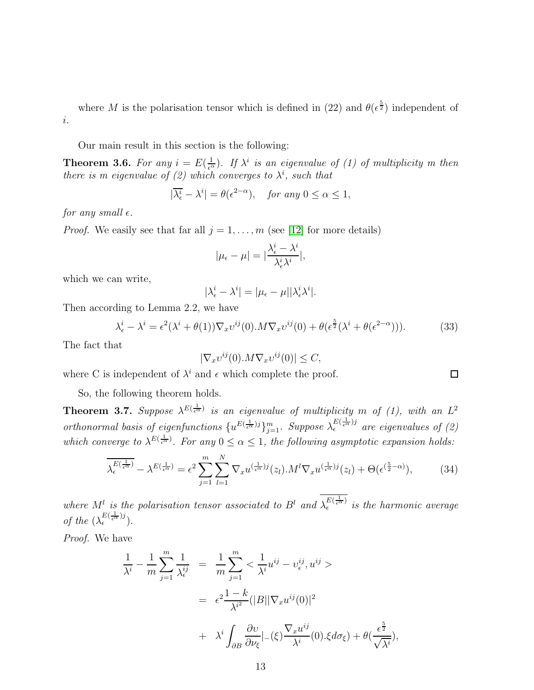where M is the polarisation tensor which is defined in (22) and  $\theta(\epsilon^{\frac{5}{2}})$  independent of i.

Our main result in this section is the following:

**Theorem 3.6.** For any  $i = E(\frac{1}{\epsilon^{\alpha}})$ . If  $\lambda^{i}$  is an eigenvalue of (1) of multiplicity m then *there is m eigenvalue of (2) which converges to*  $\lambda^{i}$ *, such that* 

$$
|\overline{\lambda_{\epsilon}^{i}} - \lambda^{i}| = \theta(\epsilon^{2-\alpha}), \quad \text{for any } 0 \le \alpha \le 1,
$$

*for any small*  $\epsilon$ *.* 

*Proof.* We easily see that far all  $j = 1, \ldots, m$  (see [\[12\]](#page-14-8) for more details)

$$
|\mu_{\epsilon} - \mu| = |\frac{\lambda_{\epsilon}^i - \lambda^i}{\lambda_{\epsilon}^i \lambda^i}|,
$$

which we can write,

$$
|\lambda_{\epsilon}^{i} - \lambda^{i}| = |\mu_{\epsilon} - \mu| |\lambda_{\epsilon}^{i} \lambda^{i}|.
$$

Then according to Lemma 2.2, we have

$$
\lambda_{\epsilon}^{i} - \lambda^{i} = \epsilon^{2}(\lambda^{i} + \theta(1))\nabla_{x}v^{ij}(0) \cdot M\nabla_{x}v^{ij}(0) + \theta(\epsilon^{\frac{5}{2}}(\lambda^{i} + \theta(\epsilon^{2-\alpha}))).
$$
 (33)

The fact that

$$
|\nabla_x v^{ij}(0) . M \nabla_x v^{ij}(0)| \le C,
$$

where C is independent of  $\lambda^i$  and  $\epsilon$  which complete the proof.

So, the following theorem holds.

**Theorem 3.7.** Suppose  $\lambda^{E(\frac{1}{\epsilon^{\alpha}})}$  is an eigenvalue of multiplicity m of (1), with an  $L^2$ *orthonormal basis of eigenfunctions*  $\{u^{E(\frac{1}{\epsilon^{\alpha}})j}\}_{j=1}^m$ . Suppose  $\lambda_{\epsilon}^{E(\frac{1}{\epsilon^{\alpha}})j}$  are eigenvalues of (2) which converge to  $\lambda^{E(\frac{1}{\epsilon^{\alpha}})}$ . For any  $0 \leq \alpha \leq 1$ , the following asymptotic expansion holds:

$$
\overline{\lambda_{\epsilon}^{E(\frac{1}{\epsilon^{\alpha}})}} - \lambda^{E(\frac{1}{\epsilon^{\alpha}})} = \epsilon^2 \sum_{j=1}^{m} \sum_{l=1}^{N} \nabla_x u^{(\frac{1}{\epsilon^{\alpha}})j}(z_l) . M^l \nabla_x u^{(\frac{1}{\epsilon^{\alpha}})j}(z_l) + \Theta(\epsilon^{(\frac{5}{2}-\alpha)}), \tag{34}
$$

where  $M^l$  is the polarisation tensor associated to  $B^l$  and  $\lambda_{\epsilon}^{E(\frac{1}{\epsilon^{\alpha}})}$  is the harmonic average *of the*  $(\lambda_{\epsilon}^{E(\frac{1}{\epsilon^{\alpha}})j}).$ 

*Proof.* We have

$$
\frac{1}{\lambda^{i}} - \frac{1}{m} \sum_{j=1}^{m} \frac{1}{\lambda_{\epsilon}^{ij}} = \frac{1}{m} \sum_{j=1}^{m} \langle \frac{1}{\lambda^{i}} u^{ij} - v_{\epsilon}^{ij}, u^{ij} \rangle
$$

$$
= \epsilon^{2} \frac{1 - k}{\lambda^{i^{2}}} (|B||\nabla_{x} u^{ij}(0)|^{2})
$$

$$
+ \lambda^{i} \int_{\partial B} \frac{\partial v}{\partial \nu_{\epsilon}} |_{-}(\xi) \frac{\nabla_{x} u^{ij}}{\lambda^{i}}(0) . \xi d\sigma_{\xi}) + \theta(\frac{\epsilon^{\frac{5}{2}}}{\sqrt{\lambda^{i}}}),
$$

 $\Box$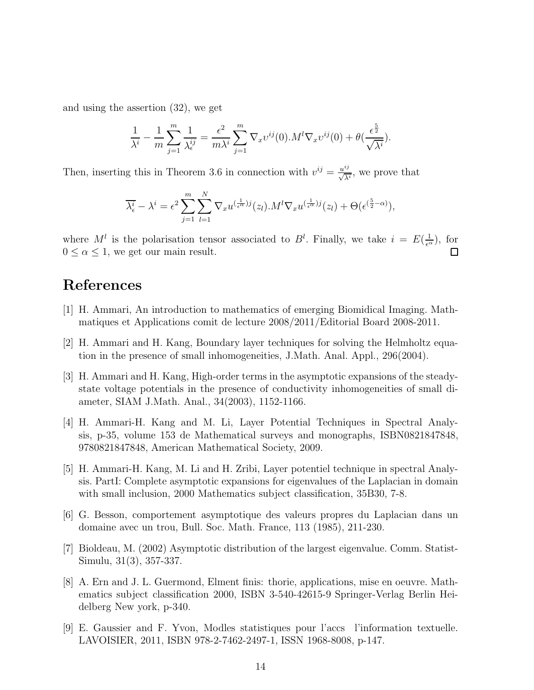and using the assertion (32), we get

$$
\frac{1}{\lambda^i} - \frac{1}{m} \sum_{j=1}^m \frac{1}{\lambda^{ij}_{\epsilon}} = \frac{\epsilon^2}{m\lambda^i} \sum_{j=1}^m \nabla_x v^{ij}(0) . M^l \nabla_x v^{ij}(0) + \theta \left(\frac{\epsilon^{\frac{5}{2}}}{\sqrt{\lambda^i}}\right).
$$

Then, inserting this in Theorem 3.6 in connection with  $v^{ij} = \frac{u^{ij}}{\sqrt{\lambda^i}}$ , we prove that

$$
\overline{\lambda_{\epsilon}^{i}} - \lambda^{i} = \epsilon^{2} \sum_{j=1}^{m} \sum_{l=1}^{N} \nabla_{x} u^{(\frac{1}{\epsilon^{\alpha}})j}(z_{l}).M^{l} \nabla_{x} u^{(\frac{1}{\epsilon^{\alpha}})j}(z_{l}) + \Theta(\epsilon^{(\frac{5}{2}-\alpha)}),
$$

where  $M^{l}$  is the polarisation tensor associated to  $B^{l}$ . Finally, we take  $i = E(\frac{1}{\epsilon^{\alpha}})$ , for  $0 \le \alpha \le 1$ , we get our main result.

# <span id="page-13-5"></span>References

- [1] H. Ammari, An introduction to mathematics of emerging Biomidical Imaging. Mathmatiques et Applications comit de lecture 2008/2011/Editorial Board 2008-2011.
- [2] H. Ammari and H. Kang, Boundary layer techniques for solving the Helmholtz equation in the presence of small inhomogeneities, J.Math. Anal. Appl., 296(2004).
- [3] H. Ammari and H. Kang, High-order terms in the asymptotic expansions of the steadystate voltage potentials in the presence of conductivity inhomogeneities of small diameter, SIAM J.Math. Anal., 34(2003), 1152-1166.
- <span id="page-13-3"></span>[4] H. Ammari-H. Kang and M. Li, Layer Potential Techniques in Spectral Analysis, p-35, volume 153 de Mathematical surveys and monographs, ISBN0821847848, 9780821847848, American Mathematical Society, 2009.
- [5] H. Ammari-H. Kang, M. Li and H. Zribi, Layer potentiel technique in spectral Analysis. PartI: Complete asymptotic expansions for eigenvalues of the Laplacian in domain with small inclusion, 2000 Mathematics subject classification, 35B30, 7-8.
- <span id="page-13-4"></span><span id="page-13-2"></span>[6] G. Besson, comportement asymptotique des valeurs propres du Laplacian dans un domaine avec un trou, Bull. Soc. Math. France, 113 (1985), 211-230.
- [7] Bioldeau, M. (2002) Asymptotic distribution of the largest eigenvalue. Comm. Statist-Simulu, 31(3), 357-337.
- <span id="page-13-0"></span>[8] A. Ern and J. L. Guermond, Elment finis: thorie, applications, mise en oeuvre. Mathematics subject classification 2000, ISBN 3-540-42615-9 Springer-Verlag Berlin Heidelberg New york, p-340.
- <span id="page-13-1"></span>[9] E. Gaussier and F. Yvon, Modles statistiques pour l'accs l'information textuelle. LAVOISIER, 2011, ISBN 978-2-7462-2497-1, ISSN 1968-8008, p-147.